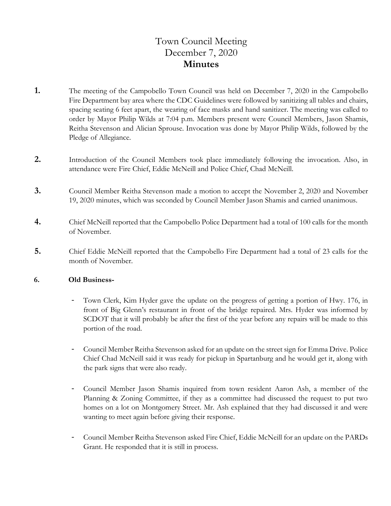# Town Council Meeting December 7, 2020 **Minutes**

- **1.** The meeting of the Campobello Town Council was held on December 7, 2020 in the Campobello Fire Department bay area where the CDC Guidelines were followed by sanitizing all tables and chairs, spacing seating 6 feet apart, the wearing of face masks and hand sanitizer. The meeting was called to order by Mayor Philip Wilds at 7:04 p.m. Members present were Council Members, Jason Shamis, Reitha Stevenson and Alician Sprouse. Invocation was done by Mayor Philip Wilds, followed by the Pledge of Allegiance.
- **2.** Introduction of the Council Members took place immediately following the invocation. Also, in attendance were Fire Chief, Eddie McNeill and Police Chief, Chad McNeill.
- **3.** Council Member Reitha Stevenson made a motion to accept the November 2, 2020 and November 19, 2020 minutes, which was seconded by Council Member Jason Shamis and carried unanimous.
- **4.** Chief McNeill reported that the Campobello Police Department had a total of 100 calls for the month of November.
- **5.** Chief Eddie McNeill reported that the Campobello Fire Department had a total of 23 calls for the month of November.

#### **6. Old Business-**

- Town Clerk, Kim Hyder gave the update on the progress of getting a portion of Hwy. 176, in front of Big Glenn's restaurant in front of the bridge repaired. Mrs. Hyder was informed by SCDOT that it will probably be after the first of the year before any repairs will be made to this portion of the road.
- Council Member Reitha Stevenson asked for an update on the street sign for Emma Drive. Police Chief Chad McNeill said it was ready for pickup in Spartanburg and he would get it, along with the park signs that were also ready.
- Council Member Jason Shamis inquired from town resident Aaron Ash, a member of the Planning & Zoning Committee, if they as a committee had discussed the request to put two homes on a lot on Montgomery Street. Mr. Ash explained that they had discussed it and were wanting to meet again before giving their response.
- Council Member Reitha Stevenson asked Fire Chief, Eddie McNeill for an update on the PARDs Grant. He responded that it is still in process.